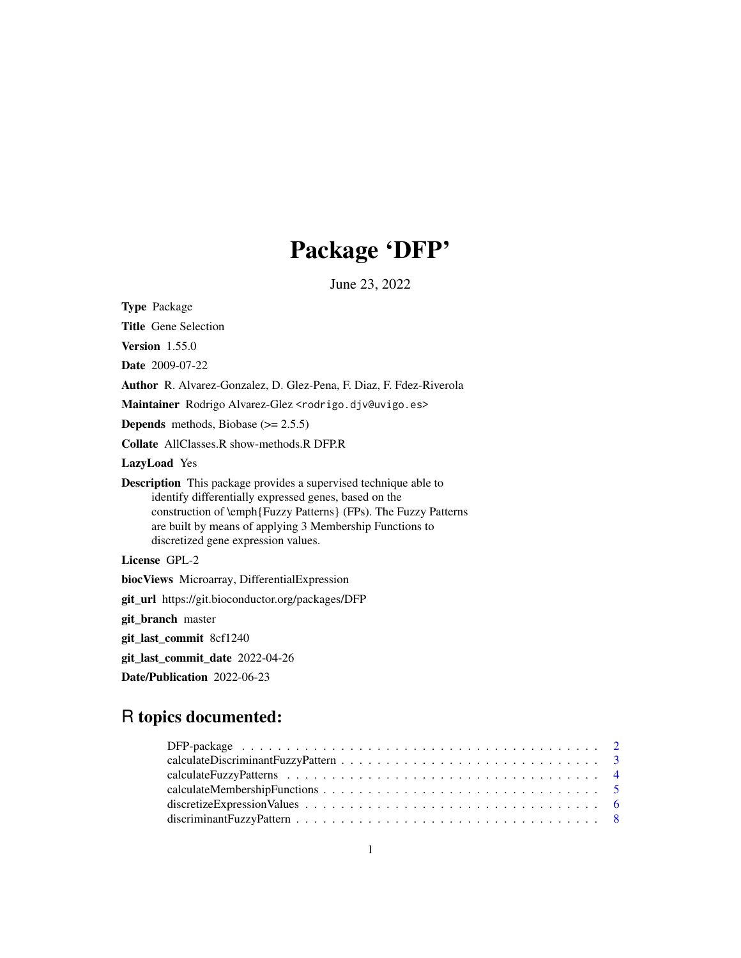# Package 'DFP'

June 23, 2022

<span id="page-0-0"></span>

| <b>Type Package</b>                                                                                                                                                                                                                                                                                    |
|--------------------------------------------------------------------------------------------------------------------------------------------------------------------------------------------------------------------------------------------------------------------------------------------------------|
| <b>Title</b> Gene Selection                                                                                                                                                                                                                                                                            |
| <b>Version</b> $1.55.0$                                                                                                                                                                                                                                                                                |
| <b>Date</b> 2009-07-22                                                                                                                                                                                                                                                                                 |
| <b>Author</b> R. Alvarez-Gonzalez, D. Glez-Pena, F. Diaz, F. Fdez-Riverola                                                                                                                                                                                                                             |
| Maintainer Rodrigo Alvarez-Glez <rodrigo.djv@uvigo.es></rodrigo.djv@uvigo.es>                                                                                                                                                                                                                          |
| <b>Depends</b> methods, Biobase $(>= 2.5.5)$                                                                                                                                                                                                                                                           |
| <b>Collate</b> AllClasses.R show-methods.R DFP.R                                                                                                                                                                                                                                                       |
| <b>LazyLoad</b> Yes                                                                                                                                                                                                                                                                                    |
| <b>Description</b> This package provides a supervised technique able to<br>identify differentially expressed genes, based on the<br>construction of \emph{Fuzzy Patterns} (FPs). The Fuzzy Patterns<br>are built by means of applying 3 Membership Functions to<br>discretized gene expression values. |
| License GPL-2                                                                                                                                                                                                                                                                                          |
| biocViews Microarray, DifferentialExpression                                                                                                                                                                                                                                                           |
| git_url https://git.bioconductor.org/packages/DFP                                                                                                                                                                                                                                                      |
| git_branch master                                                                                                                                                                                                                                                                                      |
| git_last_commit 8cf1240                                                                                                                                                                                                                                                                                |
| git_last_commit_date 2022-04-26                                                                                                                                                                                                                                                                        |
| Date/Publication 2022-06-23                                                                                                                                                                                                                                                                            |

## R topics documented: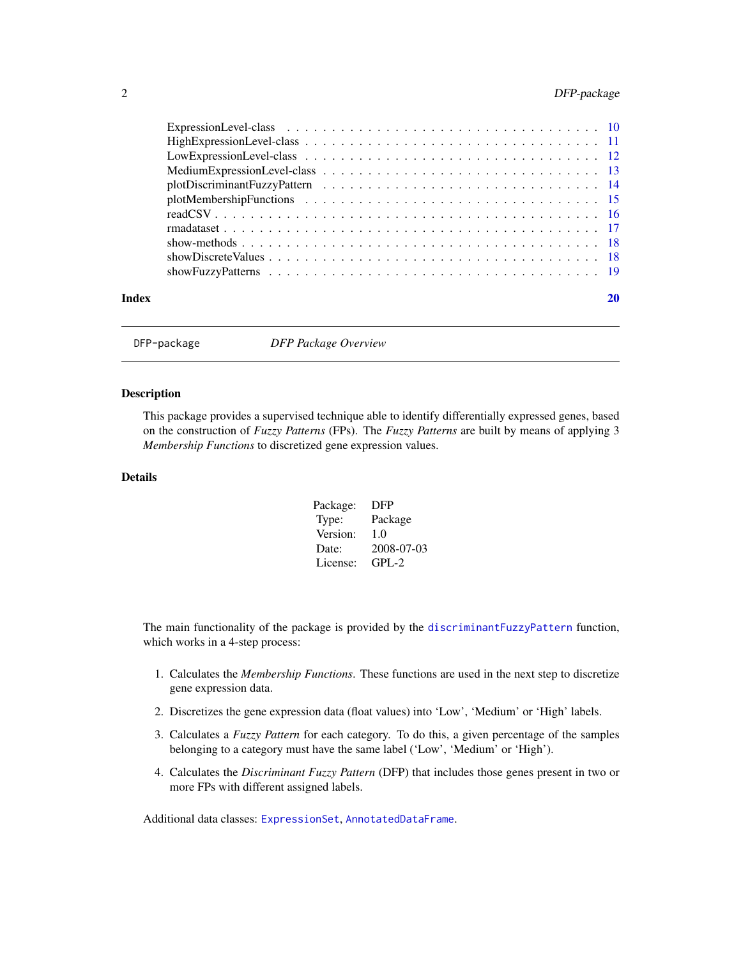### <span id="page-1-0"></span>2 DFP-package

DFP-package *DFP Package Overview*

### Description

This package provides a supervised technique able to identify differentially expressed genes, based on the construction of *Fuzzy Patterns* (FPs). The *Fuzzy Patterns* are built by means of applying 3 *Membership Functions* to discretized gene expression values.

### Details

| Package: | DFP        |
|----------|------------|
| Type:    | Package    |
| Version: | 1.0        |
| Date:    | 2008-07-03 |
| License: | $GPI - 2$  |

The main functionality of the package is provided by the [discriminantFuzzyPattern](#page-7-1) function, which works in a 4-step process:

- 1. Calculates the *Membership Functions*. These functions are used in the next step to discretize gene expression data.
- 2. Discretizes the gene expression data (float values) into 'Low', 'Medium' or 'High' labels.
- 3. Calculates a *Fuzzy Pattern* for each category. To do this, a given percentage of the samples belonging to a category must have the same label ('Low', 'Medium' or 'High').
- 4. Calculates the *Discriminant Fuzzy Pattern* (DFP) that includes those genes present in two or more FPs with different assigned labels.

Additional data classes: [ExpressionSet](#page-0-0), [AnnotatedDataFrame](#page-0-0).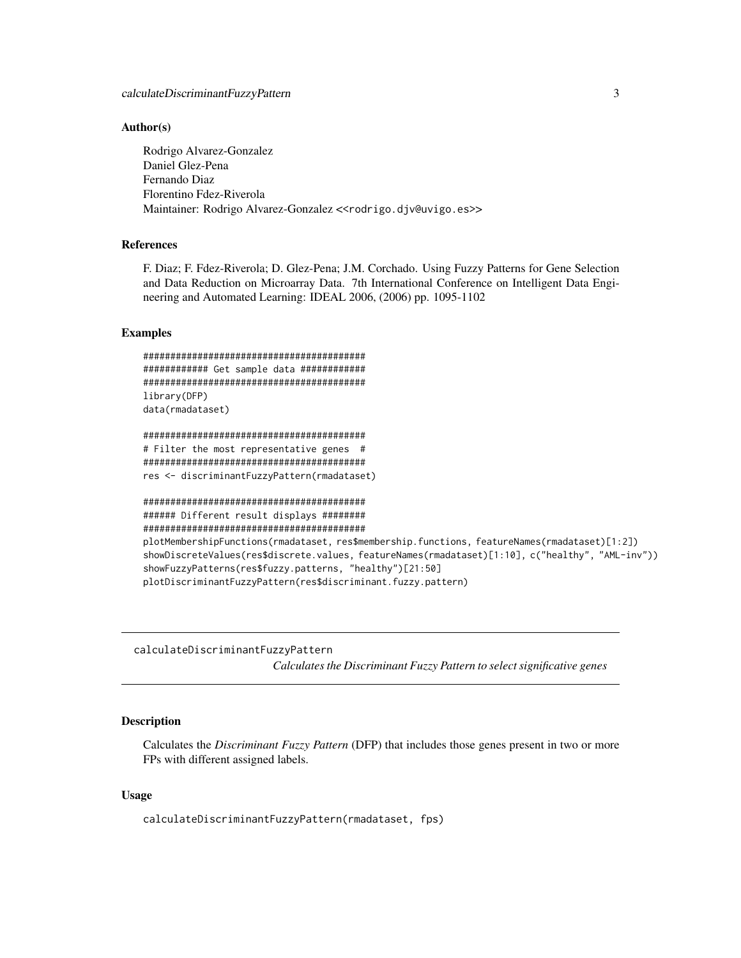#### <span id="page-2-0"></span>Author(s)

Rodrigo Alvarez-Gonzalez Daniel Glez-Pena Fernando Diaz Florentino Fdez-Riverola Maintainer: Rodrigo Alvarez-Gonzalez <<rodrigo.djv@uvigo.es>>

### References

F. Diaz; F. Fdez-Riverola; D. Glez-Pena; J.M. Corchado. Using Fuzzy Patterns for Gene Selection and Data Reduction on Microarray Data. 7th International Conference on Intelligent Data Engineering and Automated Learning: IDEAL 2006, (2006) pp. 1095-1102

#### Examples

```
#########################################
############ Get sample data ############
#########################################
library(DFP)
data(rmadataset)
#########################################
# Filter the most representative genes #
#########################################
res <- discriminantFuzzyPattern(rmadataset)
#########################################
###### Different result displays ########
#########################################
plotMembershipFunctions(rmadataset, res$membership.functions, featureNames(rmadataset)[1:2])
showDiscreteValues(res$discrete.values, featureNames(rmadataset)[1:10], c("healthy", "AML-inv"))
showFuzzyPatterns(res$fuzzy.patterns, "healthy")[21:50]
plotDiscriminantFuzzyPattern(res$discriminant.fuzzy.pattern)
```
calculateDiscriminantFuzzyPattern

*Calculates the Discriminant Fuzzy Pattern to select significative genes*

#### **Description**

Calculates the *Discriminant Fuzzy Pattern* (DFP) that includes those genes present in two or more FPs with different assigned labels.

#### Usage

calculateDiscriminantFuzzyPattern(rmadataset, fps)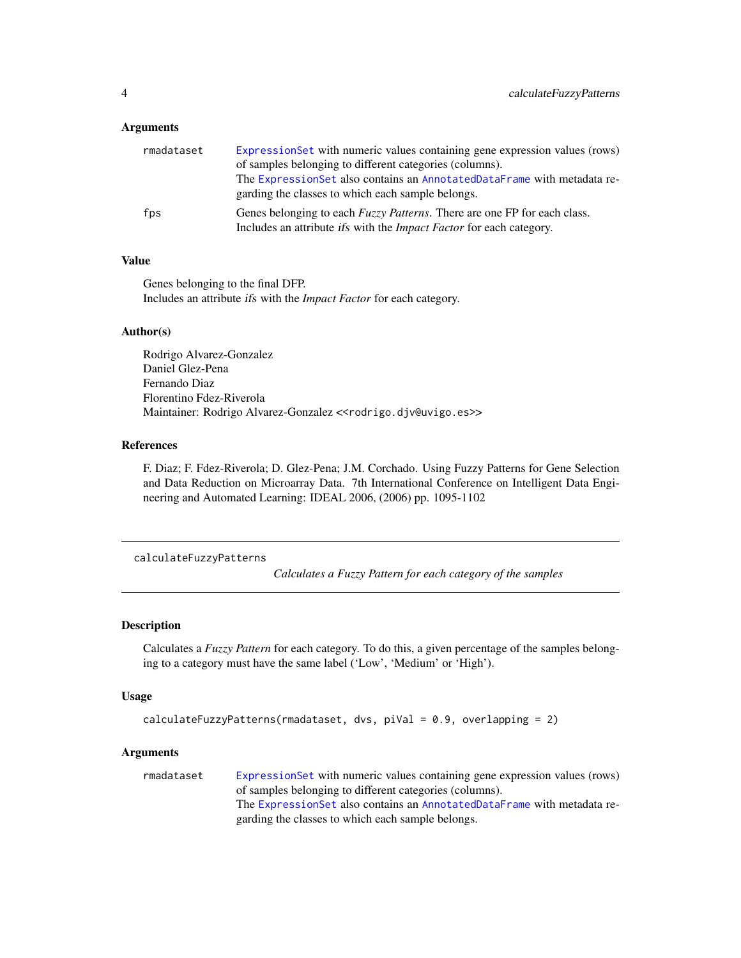### <span id="page-3-0"></span>**Arguments**

| rmadataset | ExpressionSet with numeric values containing gene expression values (rows)<br>of samples belonging to different categories (columns).                                 |
|------------|-----------------------------------------------------------------------------------------------------------------------------------------------------------------------|
|            | The ExpressionSet also contains an AnnotatedDataFrame with metadata re-<br>garding the classes to which each sample belongs.                                          |
| fps        | Genes belonging to each <i>Fuzzy Patterns</i> . There are one FP for each class.<br>Includes an attribute <i>ifs</i> with the <i>Impact Factor</i> for each category. |

### Value

Genes belonging to the final DFP. Includes an attribute ifs with the *Impact Factor* for each category.

#### Author(s)

Rodrigo Alvarez-Gonzalez Daniel Glez-Pena Fernando Diaz Florentino Fdez-Riverola Maintainer: Rodrigo Alvarez-Gonzalez <<rodrigo.djv@uvigo.es>>

### References

F. Diaz; F. Fdez-Riverola; D. Glez-Pena; J.M. Corchado. Using Fuzzy Patterns for Gene Selection and Data Reduction on Microarray Data. 7th International Conference on Intelligent Data Engineering and Automated Learning: IDEAL 2006, (2006) pp. 1095-1102

calculateFuzzyPatterns

*Calculates a Fuzzy Pattern for each category of the samples*

### **Description**

Calculates a *Fuzzy Pattern* for each category. To do this, a given percentage of the samples belonging to a category must have the same label ('Low', 'Medium' or 'High').

#### Usage

```
calculateFuzzyPatterns(rmadataset, dvs, piVal = 0.9, overlapping = 2)
```
#### Arguments

rmadataset [ExpressionSet](#page-0-0) with numeric values containing gene expression values (rows) of samples belonging to different categories (columns). The [ExpressionSet](#page-0-0) also contains an [AnnotatedDataFrame](#page-0-0) with metadata regarding the classes to which each sample belongs.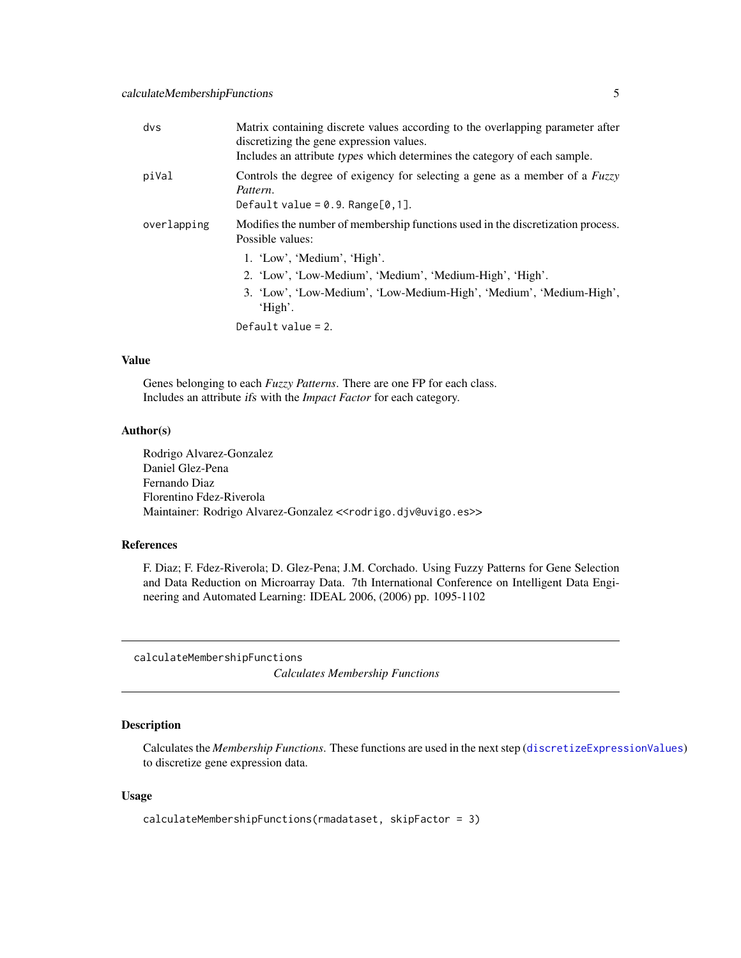<span id="page-4-0"></span>

| dvs         | Matrix containing discrete values according to the overlapping parameter after<br>discretizing the gene expression values.<br>Includes an attribute types which determines the category of each sample. |
|-------------|---------------------------------------------------------------------------------------------------------------------------------------------------------------------------------------------------------|
| piVal       | Controls the degree of exigency for selecting a gene as a member of a <i>Fuzzy</i><br>Pattern.<br>Default value = $0.9$ . Range[ $0.1$ ].                                                               |
| overlapping | Modifies the number of membership functions used in the discretization process.<br>Possible values:                                                                                                     |
|             | 1. 'Low', 'Medium', 'High'.<br>2. 'Low', 'Low-Medium', 'Medium', 'Medium-High', 'High'.<br>3. 'Low', 'Low-Medium', 'Low-Medium-High', 'Medium', 'Medium-High',<br>'High'.<br>Default value $= 2$ .      |

### Value

Genes belonging to each *Fuzzy Patterns*. There are one FP for each class. Includes an attribute ifs with the *Impact Factor* for each category.

### Author(s)

Rodrigo Alvarez-Gonzalez Daniel Glez-Pena Fernando Diaz Florentino Fdez-Riverola Maintainer: Rodrigo Alvarez-Gonzalez << rodrigo.djv@uvigo.es>>

### References

F. Diaz; F. Fdez-Riverola; D. Glez-Pena; J.M. Corchado. Using Fuzzy Patterns for Gene Selection and Data Reduction on Microarray Data. 7th International Conference on Intelligent Data Engineering and Automated Learning: IDEAL 2006, (2006) pp. 1095-1102

calculateMembershipFunctions *Calculates Membership Functions*

### Description

Calculates the *Membership Functions*. These functions are used in the next step ([discretizeExpressionValues](#page-5-1)) to discretize gene expression data.

### Usage

```
calculateMembershipFunctions(rmadataset, skipFactor = 3)
```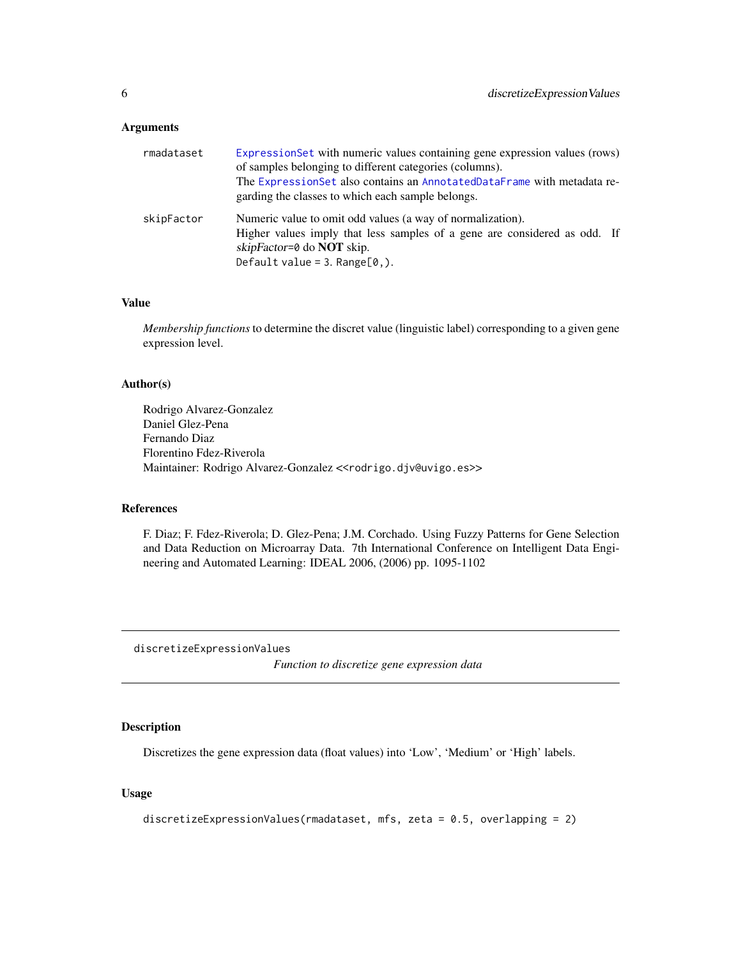#### <span id="page-5-0"></span>Arguments

| rmadataset | ExpressionSet with numeric values containing gene expression values (rows)<br>of samples belonging to different categories (columns).<br>The ExpressionSet also contains an AnnotatedDataFrame with metadata re-<br>garding the classes to which each sample belongs. |
|------------|-----------------------------------------------------------------------------------------------------------------------------------------------------------------------------------------------------------------------------------------------------------------------|
| skipFactor | Numeric value to omit odd values (a way of normalization).<br>Higher values imply that less samples of a gene are considered as odd. If<br>skipFactor=0 do <b>NOT</b> skip.<br>Default value = $3.$ Range[ $0,$ ].                                                    |

#### Value

*Membership functions* to determine the discret value (linguistic label) corresponding to a given gene expression level.

#### Author(s)

Rodrigo Alvarez-Gonzalez Daniel Glez-Pena Fernando Diaz Florentino Fdez-Riverola Maintainer: Rodrigo Alvarez-Gonzalez <<rodrigo.djv@uvigo.es>>

### References

F. Diaz; F. Fdez-Riverola; D. Glez-Pena; J.M. Corchado. Using Fuzzy Patterns for Gene Selection and Data Reduction on Microarray Data. 7th International Conference on Intelligent Data Engineering and Automated Learning: IDEAL 2006, (2006) pp. 1095-1102

<span id="page-5-1"></span>discretizeExpressionValues

*Function to discretize gene expression data*

### Description

Discretizes the gene expression data (float values) into 'Low', 'Medium' or 'High' labels.

### Usage

```
discretizeExpressionValues(rmadataset, mfs, zeta = 0.5, overlapping = 2)
```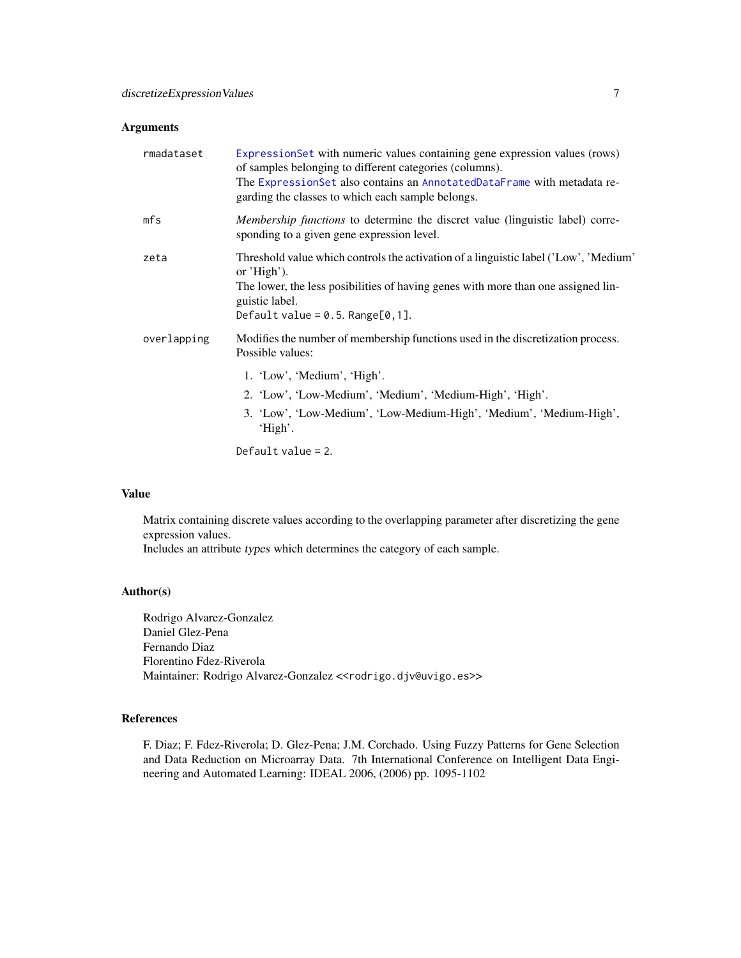### Arguments

| rmadataset  | Expression Set with numeric values containing gene expression values (rows)<br>of samples belonging to different categories (columns).<br>The ExpressionSet also contains an AnnotatedDataFrame with metadata re-<br>garding the classes to which each sample belongs.           |
|-------------|----------------------------------------------------------------------------------------------------------------------------------------------------------------------------------------------------------------------------------------------------------------------------------|
| mfs         | Membership functions to determine the discret value (linguistic label) corre-<br>sponding to a given gene expression level.                                                                                                                                                      |
| zeta        | Threshold value which controls the activation of a linguistic label ('Low', 'Medium'<br>or $'High'$ ).<br>The lower, the less posibilities of having genes with more than one assigned lin-<br>guistic label.<br>Default value = $0.5$ . Range[ $0, 1$ ].                        |
| overlapping | Modifies the number of membership functions used in the discretization process.<br>Possible values:<br>1. 'Low', 'Medium', 'High'.<br>2. 'Low', 'Low-Medium', 'Medium', 'Medium-High', 'High'.<br>3. 'Low', 'Low-Medium', 'Low-Medium-High', 'Medium', 'Medium-High',<br>'High'. |
|             | Default value = $2$ .                                                                                                                                                                                                                                                            |

### Value

Matrix containing discrete values according to the overlapping parameter after discretizing the gene expression values.

Includes an attribute types which determines the category of each sample.

### Author(s)

Rodrigo Alvarez-Gonzalez Daniel Glez-Pena Fernando Diaz Florentino Fdez-Riverola Maintainer: Rodrigo Alvarez-Gonzalez << rodrigo.djv@uvigo.es>>

### References

F. Diaz; F. Fdez-Riverola; D. Glez-Pena; J.M. Corchado. Using Fuzzy Patterns for Gene Selection and Data Reduction on Microarray Data. 7th International Conference on Intelligent Data Engineering and Automated Learning: IDEAL 2006, (2006) pp. 1095-1102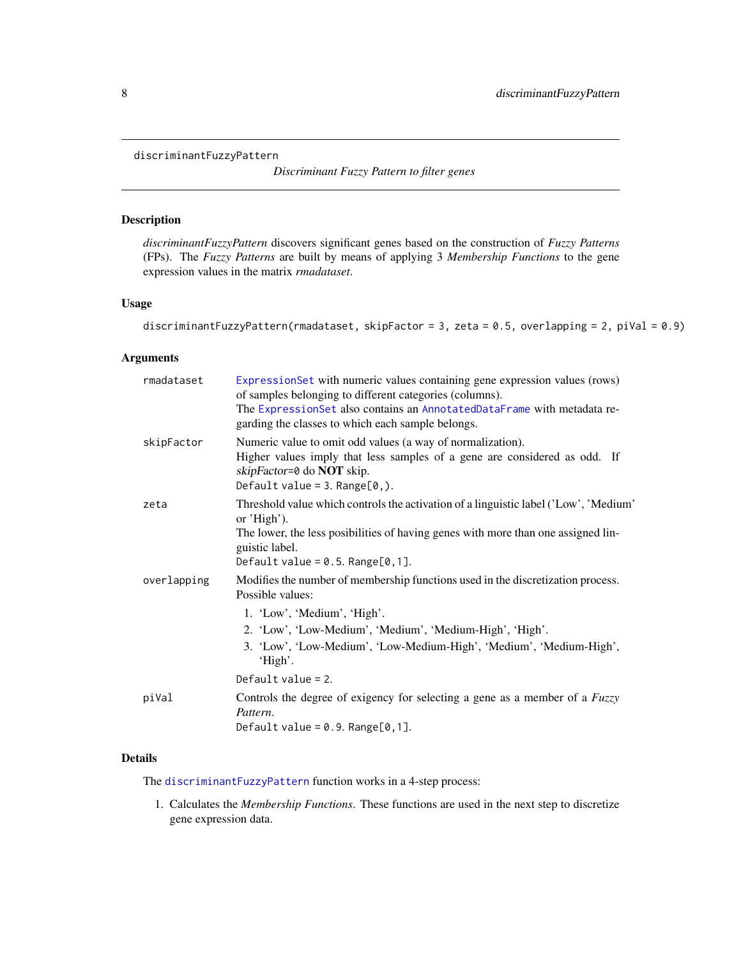#### <span id="page-7-1"></span><span id="page-7-0"></span>discriminantFuzzyPattern

## *Discriminant Fuzzy Pattern to filter genes*

### Description

*discriminantFuzzyPattern* discovers significant genes based on the construction of *Fuzzy Patterns* (FPs). The *Fuzzy Patterns* are built by means of applying 3 *Membership Functions* to the gene expression values in the matrix *rmadataset*.

### Usage

```
discriminantFuzzyPattern(rmadataset, skipFactor = 3, zeta = 0.5, overlapping = 2, piVal = 0.9)
```
### Arguments

| rmadataset  | ExpressionSet with numeric values containing gene expression values (rows)<br>of samples belonging to different categories (columns).<br>The ExpressionSet also contains an AnnotatedDataFrame with metadata re-<br>garding the classes to which each sample belongs.                                     |
|-------------|-----------------------------------------------------------------------------------------------------------------------------------------------------------------------------------------------------------------------------------------------------------------------------------------------------------|
| skipFactor  | Numeric value to omit odd values (a way of normalization).<br>Higher values imply that less samples of a gene are considered as odd. If<br>skipFactor=0 do NOT skip.<br>Default value = $3.$ Range[0, $).$                                                                                                |
| zeta        | Threshold value which controls the activation of a linguistic label ('Low', 'Medium'<br>or $'High'$ ).<br>The lower, the less posibilities of having genes with more than one assigned lin-<br>guistic label.<br>Default value = $0.5$ . Range[ $0, 1$ ].                                                 |
| overlapping | Modifies the number of membership functions used in the discretization process.<br>Possible values:<br>1. 'Low', 'Medium', 'High'.<br>2. 'Low', 'Low-Medium', 'Medium', 'Medium-High', 'High'.<br>3. 'Low', 'Low-Medium', 'Low-Medium-High', 'Medium', 'Medium-High',<br>'High'.<br>Default value = $2$ . |
| piVal       | Controls the degree of exigency for selecting a gene as a member of a <i>Fuzzy</i><br>Pattern.<br>Default value = $0.9$ . Range[ $0, 1$ ].                                                                                                                                                                |

### Details

The [discriminantFuzzyPattern](#page-7-1) function works in a 4-step process:

1. Calculates the *Membership Functions*. These functions are used in the next step to discretize gene expression data.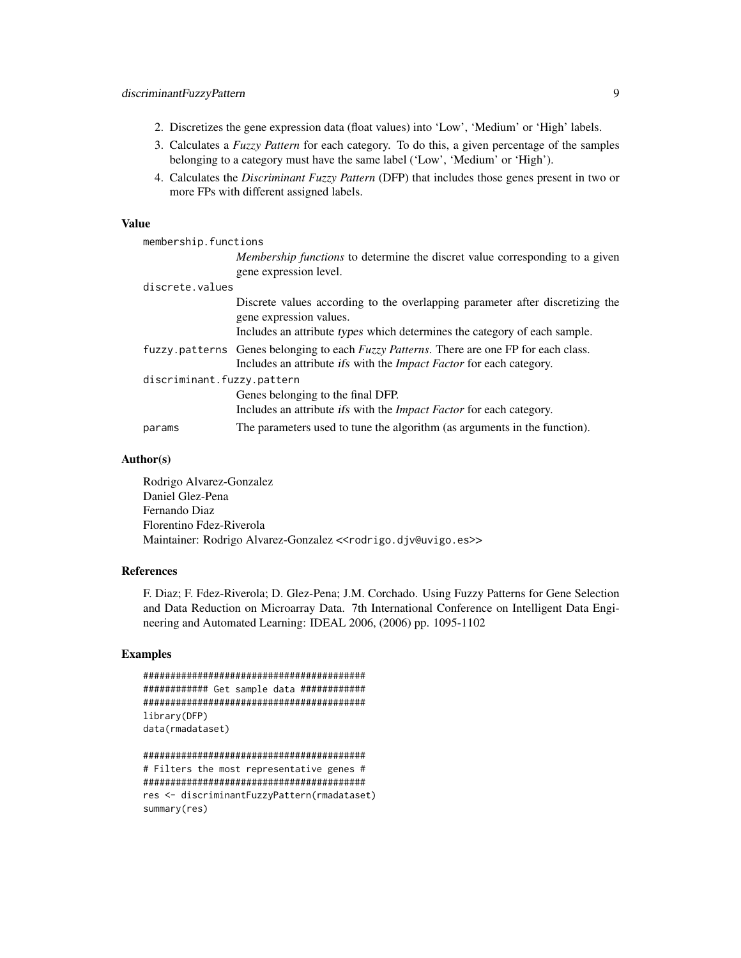- 2. Discretizes the gene expression data (float values) into 'Low', 'Medium' or 'High' labels.
- 3. Calculates a *Fuzzy Pattern* for each category. To do this, a given percentage of the samples belonging to a category must have the same label ('Low', 'Medium' or 'High').
- 4. Calculates the *Discriminant Fuzzy Pattern* (DFP) that includes those genes present in two or more FPs with different assigned labels.

#### Value

| membership.functions       |                                                                                                                                                                                       |
|----------------------------|---------------------------------------------------------------------------------------------------------------------------------------------------------------------------------------|
|                            | <i>Membership functions</i> to determine the discret value corresponding to a given<br>gene expression level.                                                                         |
| discrete.values            |                                                                                                                                                                                       |
|                            | Discrete values according to the overlapping parameter after discretizing the<br>gene expression values.<br>Includes an attribute types which determines the category of each sample. |
|                            | fuzzy. patterns Genes belonging to each Fuzzy Patterns. There are one FP for each class.<br>Includes an attribute ifs with the <i>Impact Factor</i> for each category.                |
| discriminant.fuzzy.pattern |                                                                                                                                                                                       |
|                            | Genes belonging to the final DFP.<br>Includes an attribute <i>ifs</i> with the <i>Impact Factor</i> for each category.                                                                |
| params                     | The parameters used to tune the algorithm (as arguments in the function).                                                                                                             |
|                            |                                                                                                                                                                                       |

#### Author(s)

Rodrigo Alvarez-Gonzalez Daniel Glez-Pena Fernando Diaz Florentino Fdez-Riverola Maintainer: Rodrigo Alvarez-Gonzalez <<rodrigo.djv@uvigo.es>>

#### References

F. Diaz; F. Fdez-Riverola; D. Glez-Pena; J.M. Corchado. Using Fuzzy Patterns for Gene Selection and Data Reduction on Microarray Data. 7th International Conference on Intelligent Data Engineering and Automated Learning: IDEAL 2006, (2006) pp. 1095-1102

#### Examples

```
#########################################
############ Get sample data ############
#########################################
library(DFP)
data(rmadataset)
```
######################################### # Filters the most representative genes # ######################################### res <- discriminantFuzzyPattern(rmadataset) summary(res)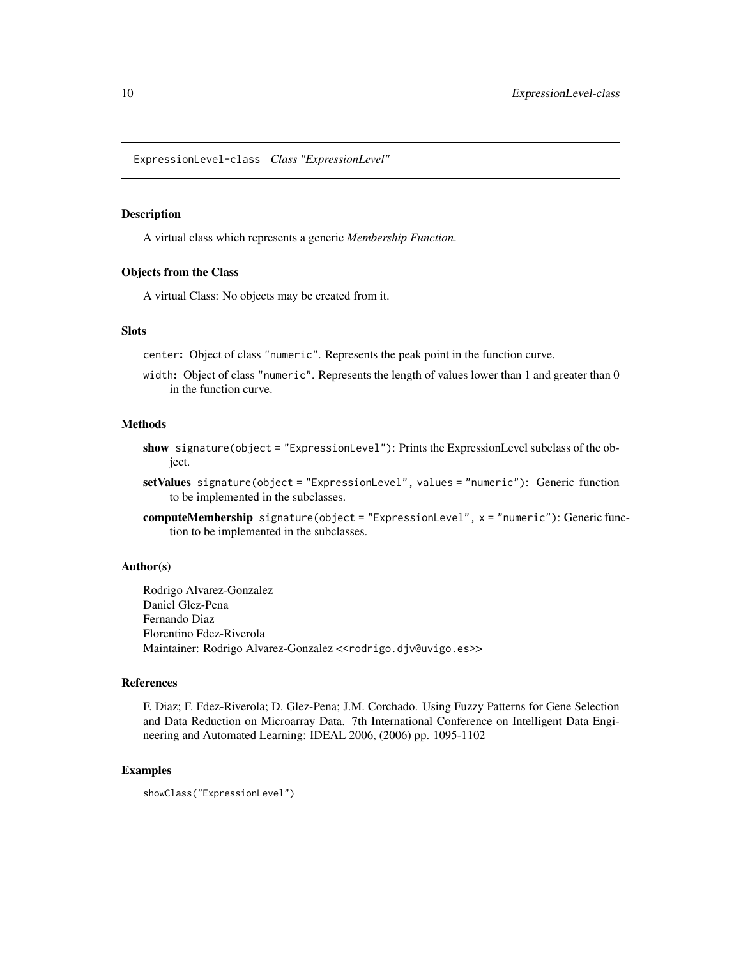<span id="page-9-1"></span><span id="page-9-0"></span>ExpressionLevel-class *Class "ExpressionLevel"*

#### **Description**

A virtual class which represents a generic *Membership Function*.

### Objects from the Class

A virtual Class: No objects may be created from it.

#### Slots

center: Object of class "numeric". Represents the peak point in the function curve.

width: Object of class "numeric". Represents the length of values lower than 1 and greater than 0 in the function curve.

#### Methods

- show signature(object = "ExpressionLevel"): Prints the ExpressionLevel subclass of the object.
- setValues signature(object = "ExpressionLevel", values = "numeric"): Generic function to be implemented in the subclasses.
- computeMembership signature(object = "ExpressionLevel", x = "numeric"): Generic function to be implemented in the subclasses.

#### Author(s)

Rodrigo Alvarez-Gonzalez Daniel Glez-Pena Fernando Diaz Florentino Fdez-Riverola Maintainer: Rodrigo Alvarez-Gonzalez <<rodrigo.djv@uvigo.es>>

#### References

F. Diaz; F. Fdez-Riverola; D. Glez-Pena; J.M. Corchado. Using Fuzzy Patterns for Gene Selection and Data Reduction on Microarray Data. 7th International Conference on Intelligent Data Engineering and Automated Learning: IDEAL 2006, (2006) pp. 1095-1102

### Examples

showClass("ExpressionLevel")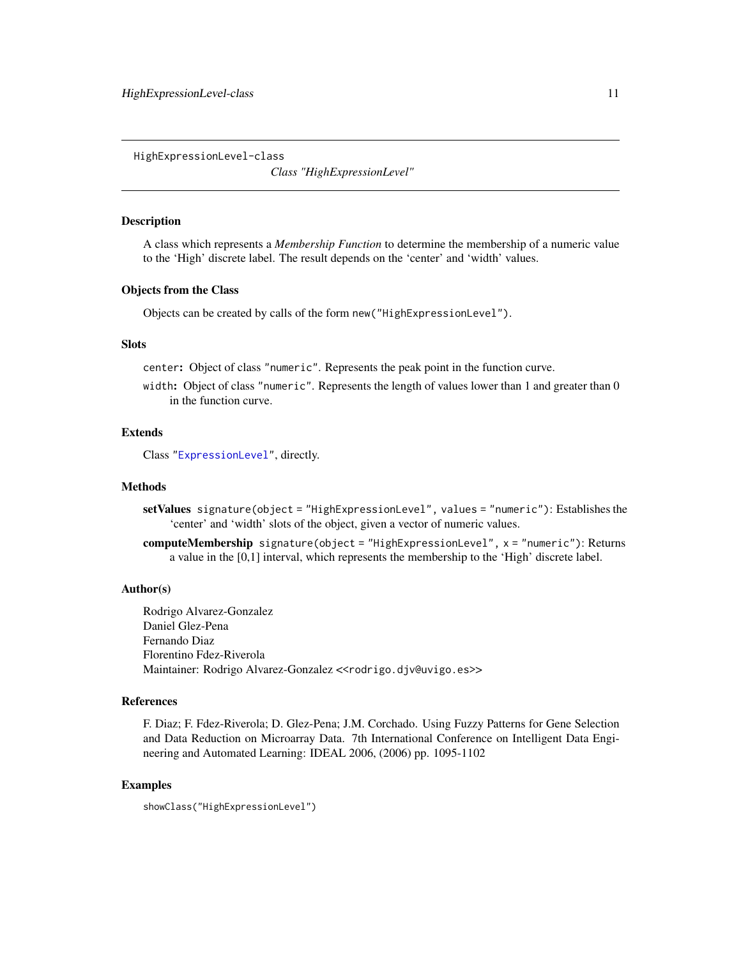<span id="page-10-0"></span>HighExpressionLevel-class

*Class "HighExpressionLevel"*

#### **Description**

A class which represents a *Membership Function* to determine the membership of a numeric value to the 'High' discrete label. The result depends on the 'center' and 'width' values.

#### Objects from the Class

Objects can be created by calls of the form new("HighExpressionLevel").

#### **Slots**

center: Object of class "numeric". Represents the peak point in the function curve.

width: Object of class "numeric". Represents the length of values lower than 1 and greater than 0 in the function curve.

### Extends

Class ["ExpressionLevel"](#page-9-1), directly.

### Methods

- setValues signature(object = "HighExpressionLevel", values = "numeric"): Establishes the 'center' and 'width' slots of the object, given a vector of numeric values.
- computeMembership signature(object = "HighExpressionLevel", x = "numeric"): Returns a value in the [0,1] interval, which represents the membership to the 'High' discrete label.

#### Author(s)

Rodrigo Alvarez-Gonzalez Daniel Glez-Pena Fernando Diaz Florentino Fdez-Riverola Maintainer: Rodrigo Alvarez-Gonzalez <<rodrigo.djv@uvigo.es>>

#### References

F. Diaz; F. Fdez-Riverola; D. Glez-Pena; J.M. Corchado. Using Fuzzy Patterns for Gene Selection and Data Reduction on Microarray Data. 7th International Conference on Intelligent Data Engineering and Automated Learning: IDEAL 2006, (2006) pp. 1095-1102

#### Examples

showClass("HighExpressionLevel")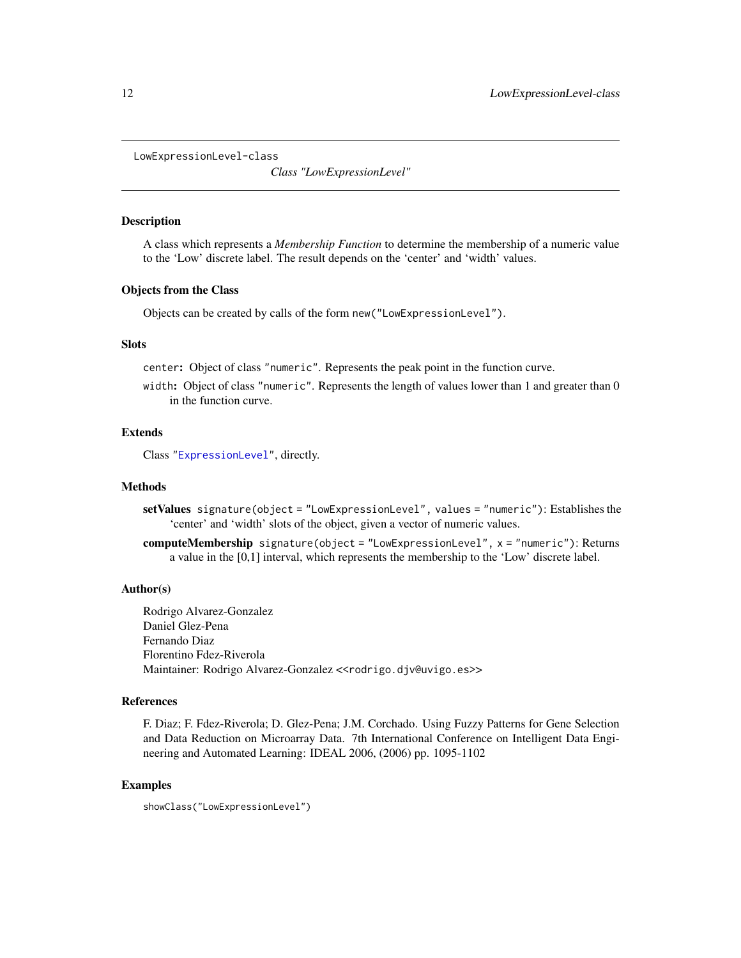<span id="page-11-0"></span>LowExpressionLevel-class

*Class "LowExpressionLevel"*

#### **Description**

A class which represents a *Membership Function* to determine the membership of a numeric value to the 'Low' discrete label. The result depends on the 'center' and 'width' values.

#### Objects from the Class

Objects can be created by calls of the form new("LowExpressionLevel").

#### **Slots**

center: Object of class "numeric". Represents the peak point in the function curve.

width: Object of class "numeric". Represents the length of values lower than 1 and greater than 0 in the function curve.

### Extends

Class ["ExpressionLevel"](#page-9-1), directly.

### Methods

- setValues signature(object = "LowExpressionLevel", values = "numeric"): Establishes the 'center' and 'width' slots of the object, given a vector of numeric values.
- computeMembership signature(object = "LowExpressionLevel", x = "numeric"): Returns a value in the [0,1] interval, which represents the membership to the 'Low' discrete label.

#### Author(s)

Rodrigo Alvarez-Gonzalez Daniel Glez-Pena Fernando Diaz Florentino Fdez-Riverola Maintainer: Rodrigo Alvarez-Gonzalez <<rodrigo.djv@uvigo.es>>

#### References

F. Diaz; F. Fdez-Riverola; D. Glez-Pena; J.M. Corchado. Using Fuzzy Patterns for Gene Selection and Data Reduction on Microarray Data. 7th International Conference on Intelligent Data Engineering and Automated Learning: IDEAL 2006, (2006) pp. 1095-1102

#### Examples

showClass("LowExpressionLevel")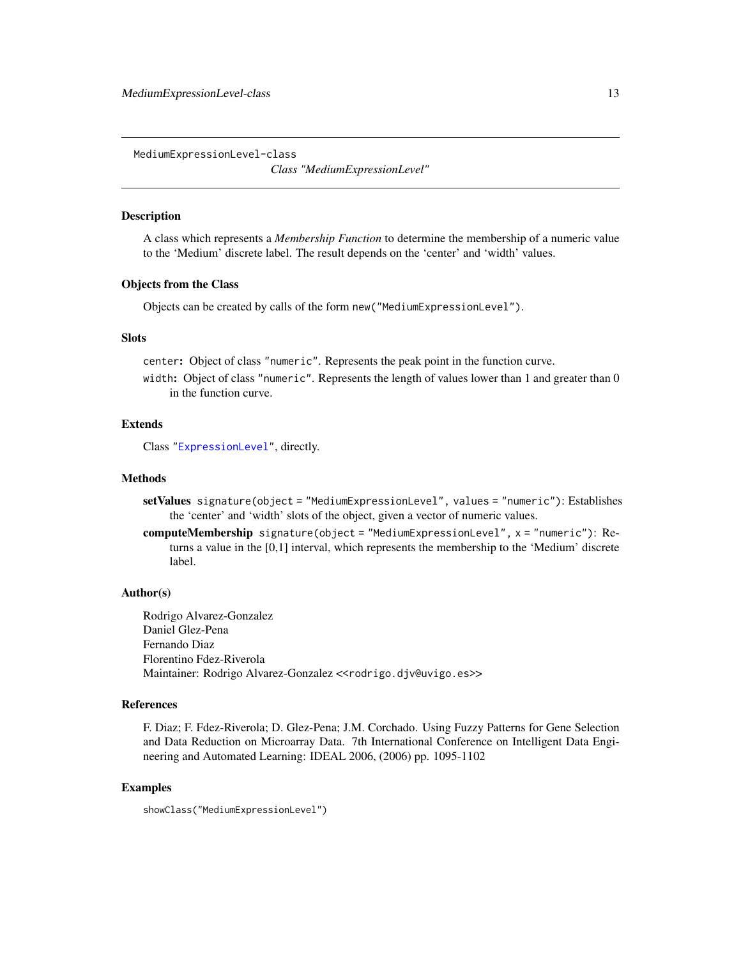<span id="page-12-0"></span>MediumExpressionLevel-class

*Class "MediumExpressionLevel"*

#### Description

A class which represents a *Membership Function* to determine the membership of a numeric value to the 'Medium' discrete label. The result depends on the 'center' and 'width' values.

#### Objects from the Class

Objects can be created by calls of the form new("MediumExpressionLevel").

#### **Slots**

center: Object of class "numeric". Represents the peak point in the function curve.

width: Object of class "numeric". Represents the length of values lower than 1 and greater than 0 in the function curve.

#### Extends

Class ["ExpressionLevel"](#page-9-1), directly.

#### Methods

- setValues signature(object = "MediumExpressionLevel", values = "numeric"): Establishes the 'center' and 'width' slots of the object, given a vector of numeric values.
- computeMembership signature(object = "MediumExpressionLevel", x = "numeric"): Returns a value in the [0,1] interval, which represents the membership to the 'Medium' discrete label.

#### Author(s)

Rodrigo Alvarez-Gonzalez Daniel Glez-Pena Fernando Diaz Florentino Fdez-Riverola Maintainer: Rodrigo Alvarez-Gonzalez << rodrigo.djv@uvigo.es>>

#### References

F. Diaz; F. Fdez-Riverola; D. Glez-Pena; J.M. Corchado. Using Fuzzy Patterns for Gene Selection and Data Reduction on Microarray Data. 7th International Conference on Intelligent Data Engineering and Automated Learning: IDEAL 2006, (2006) pp. 1095-1102

#### Examples

showClass("MediumExpressionLevel")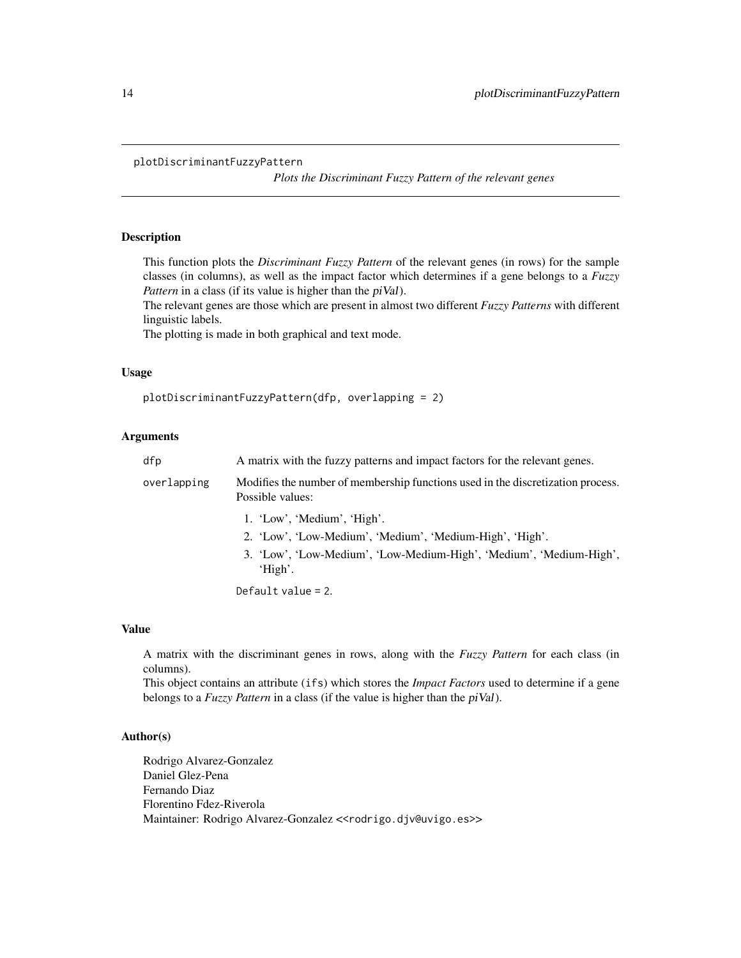#### <span id="page-13-0"></span>plotDiscriminantFuzzyPattern

*Plots the Discriminant Fuzzy Pattern of the relevant genes*

### Description

This function plots the *Discriminant Fuzzy Pattern* of the relevant genes (in rows) for the sample classes (in columns), as well as the impact factor which determines if a gene belongs to a *Fuzzy Pattern* in a class (if its value is higher than the *piVal*).

The relevant genes are those which are present in almost two different *Fuzzy Patterns* with different linguistic labels.

The plotting is made in both graphical and text mode.

#### Usage

plotDiscriminantFuzzyPattern(dfp, overlapping = 2)

### Arguments

| dfp         | A matrix with the fuzzy patterns and impact factors for the relevant genes.                         |
|-------------|-----------------------------------------------------------------------------------------------------|
| overlapping | Modifies the number of membership functions used in the discretization process.<br>Possible values: |
|             | 1. 'Low', 'Medium', 'High'.                                                                         |
|             | 2. 'Low', 'Low-Medium', 'Medium', 'Medium-High', 'High'.                                            |
|             | 3. 'Low', 'Low-Medium', 'Low-Medium-High', 'Medium', 'Medium-High',<br>'High'.                      |
|             | $D_{0}f_{0}$ . $1 + \ldots 1$ . $2 - 2$                                                             |

Default value = 2.

#### Value

A matrix with the discriminant genes in rows, along with the *Fuzzy Pattern* for each class (in columns).

This object contains an attribute (ifs) which stores the *Impact Factors* used to determine if a gene belongs to a *Fuzzy Pattern* in a class (if the value is higher than the piVal).

#### Author(s)

Rodrigo Alvarez-Gonzalez Daniel Glez-Pena Fernando Diaz Florentino Fdez-Riverola Maintainer: Rodrigo Alvarez-Gonzalez << rodrigo.djv@uvigo.es>>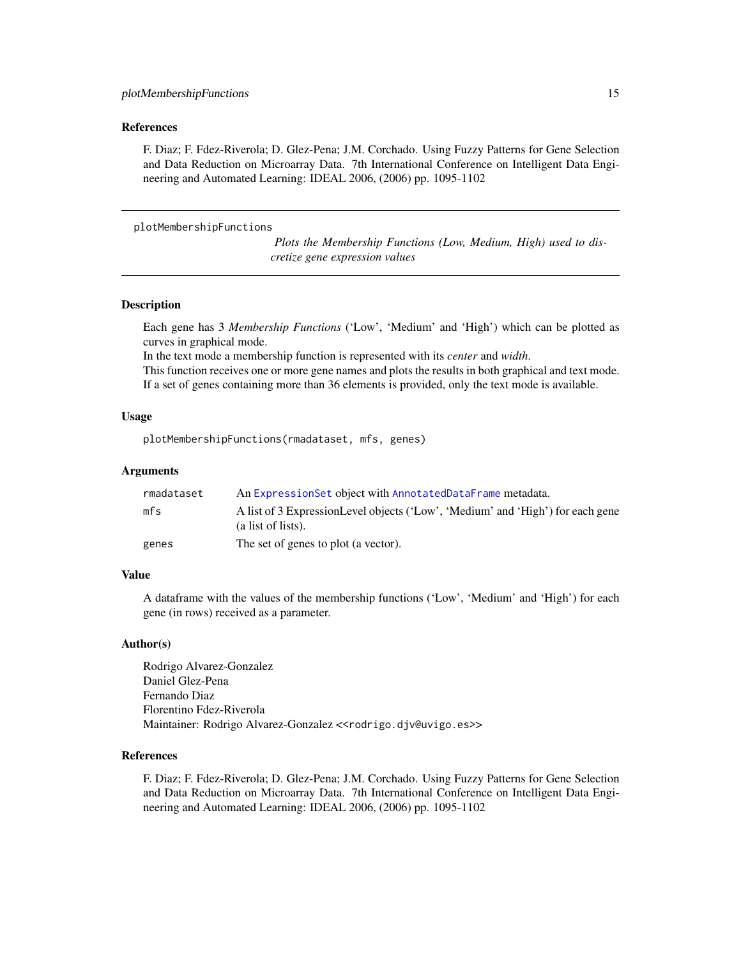#### <span id="page-14-0"></span>References

F. Diaz; F. Fdez-Riverola; D. Glez-Pena; J.M. Corchado. Using Fuzzy Patterns for Gene Selection and Data Reduction on Microarray Data. 7th International Conference on Intelligent Data Engineering and Automated Learning: IDEAL 2006, (2006) pp. 1095-1102

plotMembershipFunctions

*Plots the Membership Functions (Low, Medium, High) used to discretize gene expression values*

#### Description

Each gene has 3 *Membership Functions* ('Low', 'Medium' and 'High') which can be plotted as curves in graphical mode.

In the text mode a membership function is represented with its *center* and *width*.

This function receives one or more gene names and plots the results in both graphical and text mode. If a set of genes containing more than 36 elements is provided, only the text mode is available.

#### Usage

plotMembershipFunctions(rmadataset, mfs, genes)

#### Arguments

| rmadataset | An ExpressionSet object with AnnotatedDataFrame metadata.                                            |
|------------|------------------------------------------------------------------------------------------------------|
| mfs        | A list of 3 ExpressionLevel objects ('Low', 'Medium' and 'High') for each gene<br>(a list of lists). |
| genes      | The set of genes to plot (a vector).                                                                 |

#### Value

A dataframe with the values of the membership functions ('Low', 'Medium' and 'High') for each gene (in rows) received as a parameter.

#### Author(s)

Rodrigo Alvarez-Gonzalez Daniel Glez-Pena Fernando Diaz Florentino Fdez-Riverola Maintainer: Rodrigo Alvarez-Gonzalez << rodrigo.djv@uvigo.es>>

#### References

F. Diaz; F. Fdez-Riverola; D. Glez-Pena; J.M. Corchado. Using Fuzzy Patterns for Gene Selection and Data Reduction on Microarray Data. 7th International Conference on Intelligent Data Engineering and Automated Learning: IDEAL 2006, (2006) pp. 1095-1102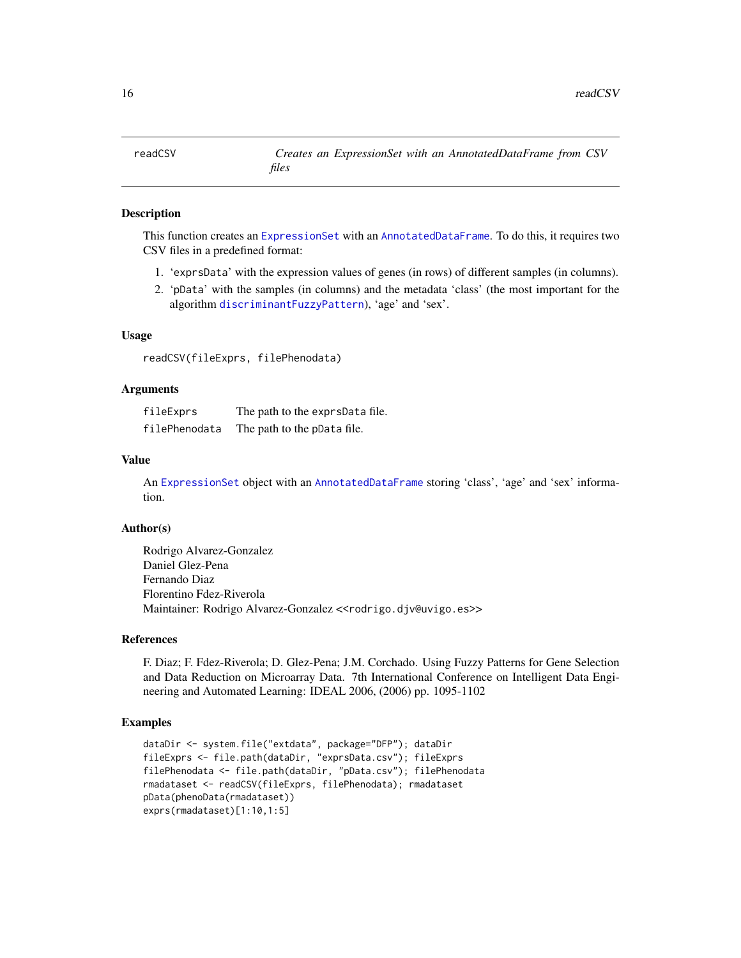<span id="page-15-0"></span>

### **Description**

This function creates an [ExpressionSet](#page-0-0) with an [AnnotatedDataFrame](#page-0-0). To do this, it requires two CSV files in a predefined format:

- 1. 'exprsData' with the expression values of genes (in rows) of different samples (in columns).
- 2. 'pData' with the samples (in columns) and the metadata 'class' (the most important for the algorithm [discriminantFuzzyPattern](#page-7-1)), 'age' and 'sex'.

#### Usage

readCSV(fileExprs, filePhenodata)

#### Arguments

| fileExprs     | The path to the exprsData file. |
|---------------|---------------------------------|
| filePhenodata | The path to the pData file.     |

#### Value

An [ExpressionSet](#page-0-0) object with an [AnnotatedDataFrame](#page-0-0) storing 'class', 'age' and 'sex' information.

#### Author(s)

Rodrigo Alvarez-Gonzalez Daniel Glez-Pena Fernando Diaz Florentino Fdez-Riverola Maintainer: Rodrigo Alvarez-Gonzalez <<rodrigo.djv@uvigo.es>>

### References

F. Diaz; F. Fdez-Riverola; D. Glez-Pena; J.M. Corchado. Using Fuzzy Patterns for Gene Selection and Data Reduction on Microarray Data. 7th International Conference on Intelligent Data Engineering and Automated Learning: IDEAL 2006, (2006) pp. 1095-1102

#### Examples

```
dataDir <- system.file("extdata", package="DFP"); dataDir
fileExprs <- file.path(dataDir, "exprsData.csv"); fileExprs
filePhenodata <- file.path(dataDir, "pData.csv"); filePhenodata
rmadataset <- readCSV(fileExprs, filePhenodata); rmadataset
pData(phenoData(rmadataset))
exprs(rmadataset)[1:10,1:5]
```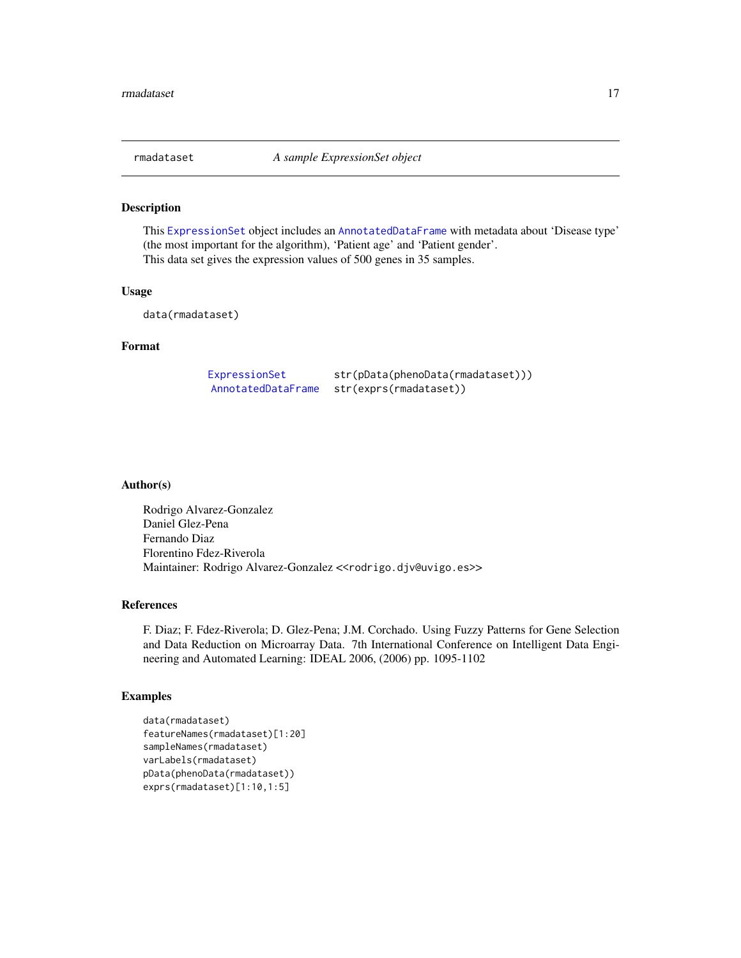<span id="page-16-0"></span>

#### Description

This [ExpressionSet](#page-0-0) object includes an [AnnotatedDataFrame](#page-0-0) with metadata about 'Disease type' (the most important for the algorithm), 'Patient age' and 'Patient gender'. This data set gives the expression values of 500 genes in 35 samples.

### Usage

data(rmadataset)

### Format

[ExpressionSet](#page-0-0) str(pData(phenoData(rmadataset))) [AnnotatedDataFrame](#page-0-0) str(exprs(rmadataset))

#### Author(s)

Rodrigo Alvarez-Gonzalez Daniel Glez-Pena Fernando Diaz Florentino Fdez-Riverola Maintainer: Rodrigo Alvarez-Gonzalez <<rodrigo.djv@uvigo.es>>

#### References

F. Diaz; F. Fdez-Riverola; D. Glez-Pena; J.M. Corchado. Using Fuzzy Patterns for Gene Selection and Data Reduction on Microarray Data. 7th International Conference on Intelligent Data Engineering and Automated Learning: IDEAL 2006, (2006) pp. 1095-1102

#### Examples

```
data(rmadataset)
featureNames(rmadataset)[1:20]
sampleNames(rmadataset)
varLabels(rmadataset)
pData(phenoData(rmadataset))
exprs(rmadataset)[1:10,1:5]
```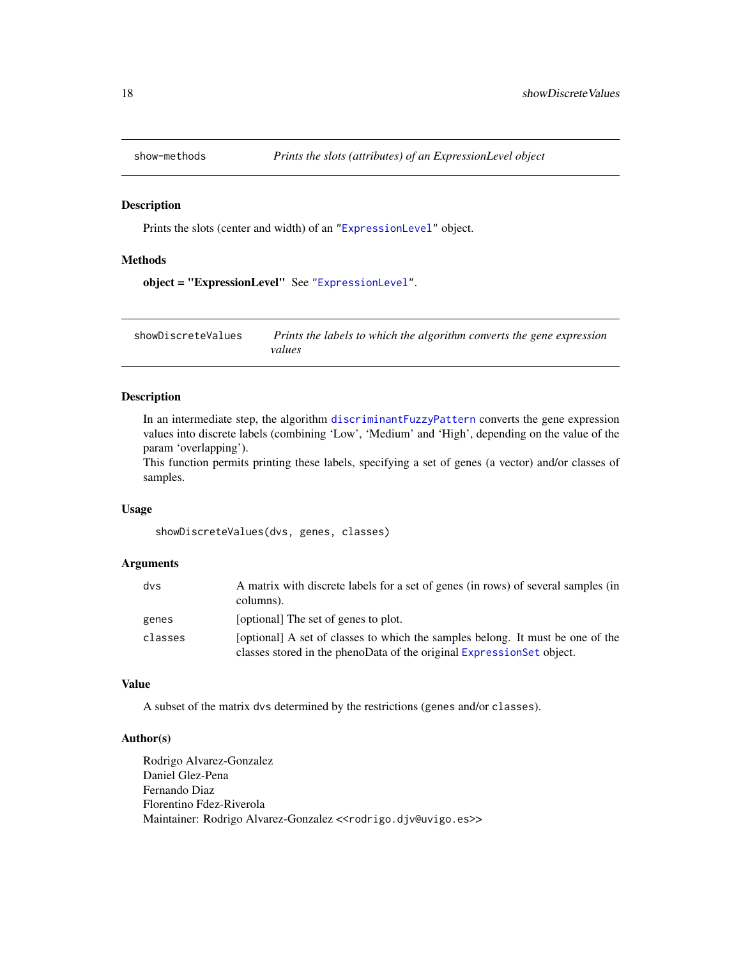<span id="page-17-0"></span>

### Description

Prints the slots (center and width) of an ["ExpressionLevel"](#page-9-1) object.

### Methods

object = "ExpressionLevel" See ["ExpressionLevel"](#page-9-1).

showDiscreteValues *Prints the labels to which the algorithm converts the gene expression values*

### Description

In an intermediate step, the algorithm [discriminantFuzzyPattern](#page-7-1) converts the gene expression values into discrete labels (combining 'Low', 'Medium' and 'High', depending on the value of the param 'overlapping').

This function permits printing these labels, specifying a set of genes (a vector) and/or classes of samples.

#### Usage

showDiscreteValues(dvs, genes, classes)

### Arguments

| dvs     | A matrix with discrete labels for a set of genes (in rows) of several samples (in<br>columns).                                                          |
|---------|---------------------------------------------------------------------------------------------------------------------------------------------------------|
| genes   | [optional] The set of genes to plot.                                                                                                                    |
| classes | [optional] A set of classes to which the samples belong. It must be one of the<br>classes stored in the phenoData of the original ExpressionSet object. |

### Value

A subset of the matrix dvs determined by the restrictions (genes and/or classes).

### Author(s)

Rodrigo Alvarez-Gonzalez Daniel Glez-Pena Fernando Diaz Florentino Fdez-Riverola Maintainer: Rodrigo Alvarez-Gonzalez << rodrigo.djv@uvigo.es>>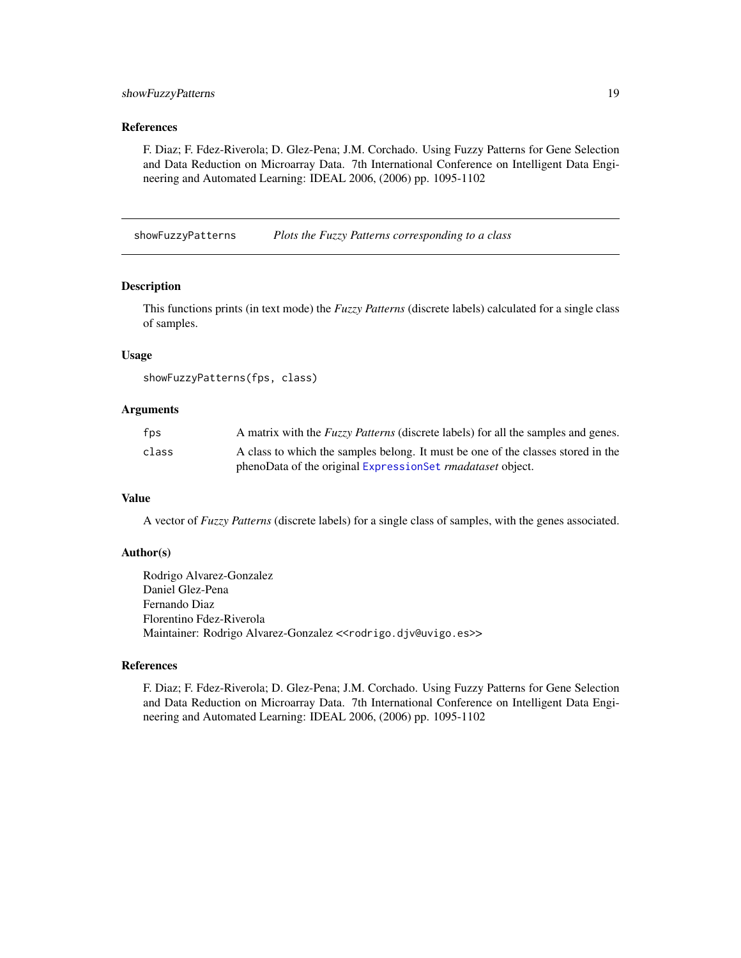### <span id="page-18-0"></span>showFuzzyPatterns 19

#### References

F. Diaz; F. Fdez-Riverola; D. Glez-Pena; J.M. Corchado. Using Fuzzy Patterns for Gene Selection and Data Reduction on Microarray Data. 7th International Conference on Intelligent Data Engineering and Automated Learning: IDEAL 2006, (2006) pp. 1095-1102

showFuzzyPatterns *Plots the Fuzzy Patterns corresponding to a class*

#### Description

This functions prints (in text mode) the *Fuzzy Patterns* (discrete labels) calculated for a single class of samples.

#### Usage

```
showFuzzyPatterns(fps, class)
```
#### Arguments

| fps   | A matrix with the <i>Fuzzy Patterns</i> (discrete labels) for all the samples and genes. |
|-------|------------------------------------------------------------------------------------------|
| class | A class to which the samples belong. It must be one of the classes stored in the         |
|       | phenoData of the original ExpressionSet <i>rmadataset</i> object.                        |

### Value

A vector of *Fuzzy Patterns* (discrete labels) for a single class of samples, with the genes associated.

#### Author(s)

Rodrigo Alvarez-Gonzalez Daniel Glez-Pena Fernando Diaz Florentino Fdez-Riverola Maintainer: Rodrigo Alvarez-Gonzalez << rodrigo.djv@uvigo.es>>

### References

F. Diaz; F. Fdez-Riverola; D. Glez-Pena; J.M. Corchado. Using Fuzzy Patterns for Gene Selection and Data Reduction on Microarray Data. 7th International Conference on Intelligent Data Engineering and Automated Learning: IDEAL 2006, (2006) pp. 1095-1102